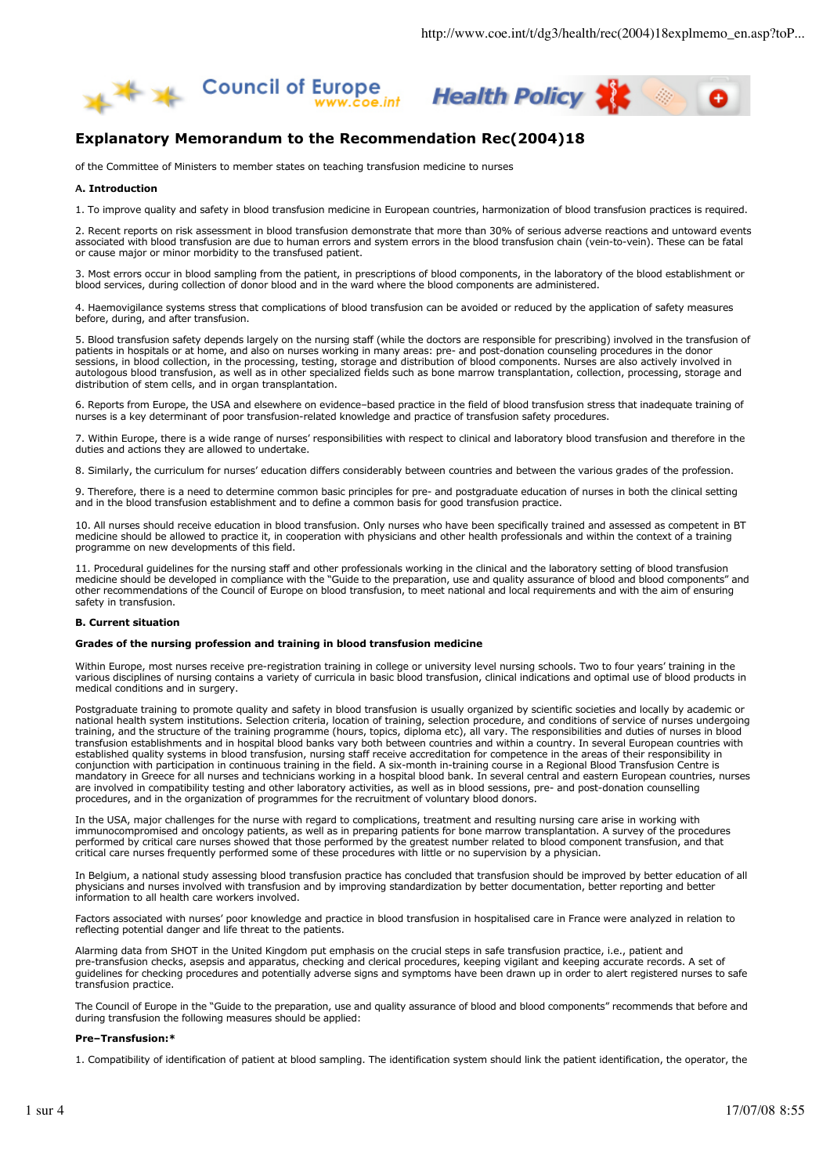



# **Explanatory Memorandum to the Recommendation Rec(2004)18**

of the Committee of Ministers to member states on teaching transfusion medicine to nurses

## **Α. Introduction**

1. To improve quality and safety in blood transfusion medicine in European countries, harmonization of blood transfusion practices is required.

2. Recent reports on risk assessment in blood transfusion demonstrate that more than 30% of serious adverse reactions and untoward events associated with blood transfusion are due to human errors and system errors in the blood transfusion chain (vein-to-vein). These can be fatal or cause major or minor morbidity to the transfused patient.

3. Most errors occur in blood sampling from the patient, in prescriptions of blood components, in the laboratory of the blood establishment or blood services, during collection of donor blood and in the ward where the blood components are administered.

4. Haemovigilance systems stress that complications of blood transfusion can be avoided or reduced by the application of safety measures before, during, and after transfusion.

5. Blood transfusion safety depends largely on the nursing staff (while the doctors are responsible for prescribing) involved in the transfusion of patients in hospitals or at home, and also on nurses working in many areas: pre- and post-donation counseling procedures in the donor sessions, in blood collection, in the processing, testing, storage and distribution of blood components. Nurses are also actively involved in autologous blood transfusion, as well as in other specialized fields such as bone marrow transplantation, collection, processing, storage and distribution of stem cells, and in organ transplantation.

6. Reports from Europe, the USA and elsewhere on evidence–based practice in the field of blood transfusion stress that inadequate training of nurses is a key determinant of poor transfusion-related knowledge and practice of transfusion safety procedures.

7. Within Europe, there is a wide range of nurses' responsibilities with respect to clinical and laboratory blood transfusion and therefore in the duties and actions they are allowed to undertake.

8. Similarly, the curriculum for nurses' education differs considerably between countries and between the various grades of the profession.

9. Therefore, there is a need to determine common basic principles for pre- and postgraduate education of nurses in both the clinical setting and in the blood transfusion establishment and to define a common basis for good transfusion practice.

10. All nurses should receive education in blood transfusion. Only nurses who have been specifically trained and assessed as competent in BT medicine should be allowed to practice it, in cooperation with physicians and other health professionals and within the context of a training programme on new developments of this field.

11. Procedural guidelines for the nursing staff and other professionals working in the clinical and the laboratory setting of blood transfusion medicine should be developed in compliance with the "Guide to the preparation, use and quality assurance of blood and blood components" and other recommendations of the Council of Europe on blood transfusion, to meet national and local requirements and with the aim of ensuring safety in transfusion

## **B. Current situation**

#### **Grades of the nursing profession and training in blood transfusion medicine**

Within Europe, most nurses receive pre-registration training in college or university level nursing schools. Two to four years' training in the various disciplines of nursing contains a variety of curricula in basic blood transfusion, clinical indications and optimal use of blood products in medical conditions and in surgery.

Postgraduate training to promote quality and safety in blood transfusion is usually organized by scientific societies and locally by academic or national health system institutions. Selection criteria, location of training, selection procedure, and conditions of service of nurses undergoing training, and the structure of the training programme (hours, topics, diploma etc), all vary. The responsibilities and duties of nurses in blood transfusion establishments and in hospital blood banks vary both between countries and within a country. In several European countries with established quality systems in blood transfusion, nursing staff receive accreditation for competence in the areas of their responsibility in conjunction with participation in continuous training in the field. A six-month in-training course in a Regional Blood Transfusion Centre is mandatory in Greece for all nurses and technicians working in a hospital blood bank. In several central and eastern European countries, nurses are involved in compatibility testing and other laboratory activities, as well as in blood sessions, pre- and post-donation counselling procedures, and in the organization of programmes for the recruitment of voluntary blood donors.

In the USA, major challenges for the nurse with regard to complications, treatment and resulting nursing care arise in working with immunocompromised and oncology patients, as well as in preparing patients for bone marrow transplantation. A survey of the procedures performed by critical care nurses showed that those performed by the greatest number related to blood component transfusion, and that critical care nurses frequently performed some of these procedures with little or no supervision by a physician.

In Belgium, a national study assessing blood transfusion practice has concluded that transfusion should be improved by better education of all physicians and nurses involved with transfusion and by improving standardization by better documentation, better reporting and better information to all health care workers involved.

Factors associated with nurses' poor knowledge and practice in blood transfusion in hospitalised care in France were analyzed in relation to reflecting potential danger and life threat to the patients.

Alarming data from SHOT in the United Kingdom put emphasis on the crucial steps in safe transfusion practice, i.e., patient and pre-transfusion checks, asepsis and apparatus, checking and clerical procedures, keeping vigilant and keeping accurate records. A set of guidelines for checking procedures and potentially adverse signs and symptoms have been drawn up in order to alert registered nurses to safe transfusion practice.

The Council of Europe in the "Guide to the preparation, use and quality assurance of blood and blood components" recommends that before and during transfusion the following measures should be applied:

## **Pre–Transfusion:\***

1. Compatibility of identification of patient at blood sampling. The identification system should link the patient identification, the operator, the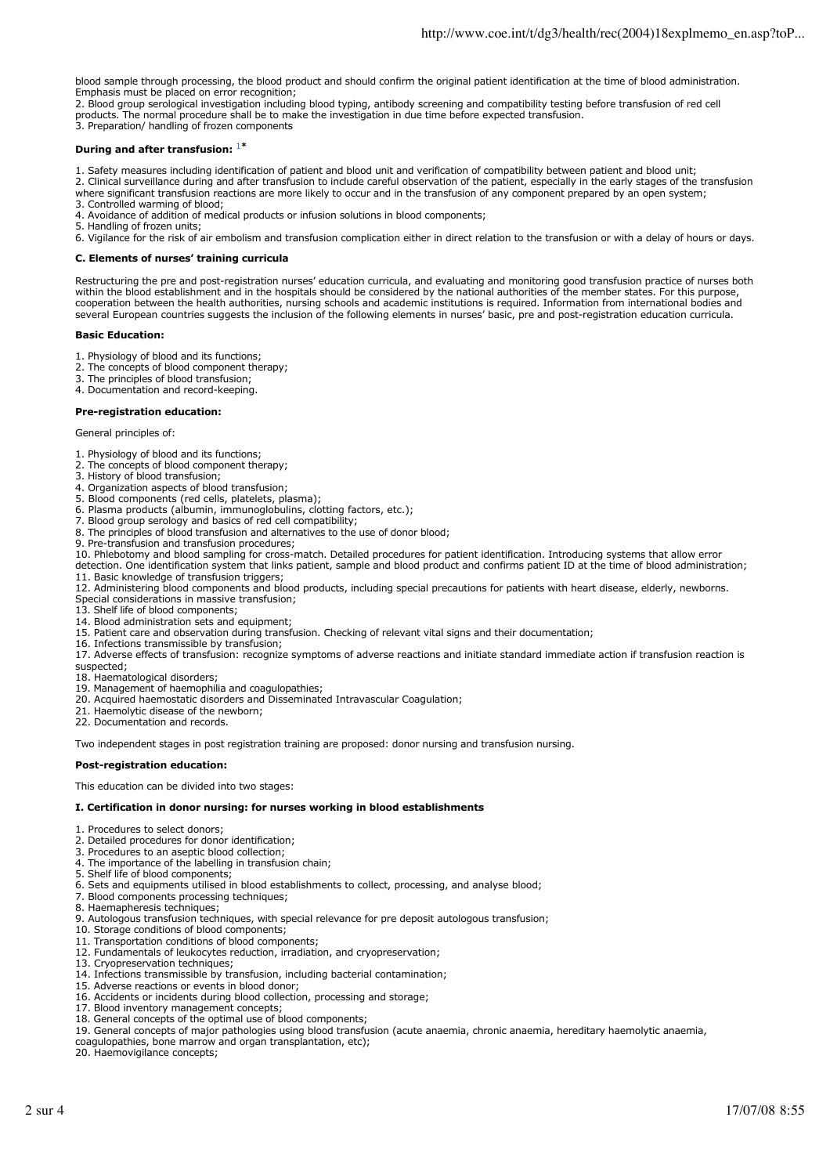blood sample through processing, the blood product and should confirm the original patient identification at the time of blood administration. Emphasis must be placed on error recognition;

2. Blood group serological investigation including blood typing, antibody screening and compatibility testing before transfusion of red cell products. The normal procedure shall be to make the investigation in due time before expected transfusion. 3. Preparation/ handling of frozen components

# **During and after transfusion:** <sup>1</sup>**\***

1. Safety measures including identification of patient and blood unit and verification of compatibility between patient and blood unit; 2. Clinical surveillance during and after transfusion to include careful observation of the patient, especially in the early stages of the transfusion

where significant transfusion reactions are more likely to occur and in the transfusion of any component prepared by an open system; 3. Controlled warming of blood;

4. Avoidance of addition of medical products or infusion solutions in blood components;

5. Handling of frozen units;

6. Vigilance for the risk of air embolism and transfusion complication either in direct relation to the transfusion or with a delay of hours or days.

# **C. Elements of nurses' training curricula**

Restructuring the pre and post-registration nurses' education curricula, and evaluating and monitoring good transfusion practice of nurses both within the blood establishment and in the hospitals should be considered by the national authorities of the member states. For this purpose, cooperation between the health authorities, nursing schools and academic institutions is required. Information from international bodies and several European countries suggests the inclusion of the following elements in nurses' basic, pre and post-registration education curricula.

#### **Basic Education:**

- 1. Physiology of blood and its functions;
- 2. The concepts of blood component therapy;
- 3. The principles of blood transfusion;

4. Documentation and record-keeping.

# **Pre-registration education:**

General principles of:

- 1. Physiology of blood and its functions;
- 2. The concepts of blood component therapy;
- 3. History of blood transfusion;
- 4. Organization aspects of blood transfusion;
- 5. Blood components (red cells, platelets, plasma); 6. Plasma products (albumin, immunoglobulins, clotting factors, etc.);
- 7. Blood group serology and basics of red cell compatibility;
- 8. The principles of blood transfusion and alternatives to the use of donor blood;
- 9. Pre-transfusion and transfusion procedures;
- 10. Phlebotomy and blood sampling for cross-match. Detailed procedures for patient identification. Introducing systems that allow error

detection. One identification system that links patient, sample and blood product and confirms patient ID at the time of blood administration; 11. Basic knowledge of transfusion triggers;

- 12. Administering blood components and blood products, including special precautions for patients with heart disease, elderly, newborns.
- Special considerations in massive transfusion;
- 13. Shelf life of blood components;
- 14. Blood administration sets and equipment; 15. Patient care and observation during transfusion. Checking of relevant vital signs and their documentation;
- 16. Infections transmissible by transfusion;
- 17. Adverse effects of transfusion: recognize symptoms of adverse reactions and initiate standard immediate action if transfusion reaction is

suspected;

- 18. Haematological disorders;
- 19. Management of haemophilia and coagulopathies;
- 20. Acquired haemostatic disorders and Disseminated Intravascular Coagulation;
- 21. Haemolytic disease of the newborn;
- 22. Documentation and records.

Two independent stages in post registration training are proposed: donor nursing and transfusion nursing.

#### **Post-registration education:**

This education can be divided into two stages:

#### **I. Certification in donor nursing: for nurses working in blood establishments**

- 1. Procedures to select donors;
- 2. Detailed procedures for donor identification;
- 3. Procedures to an aseptic blood collection;
- 4. The importance of the labelling in transfusion chain;
- 5. Shelf life of blood components;
- 6. Sets and equipments utilised in blood establishments to collect, processing, and analyse blood;
- 7. Blood components processing techniques;
- 8. Haemapheresis techniques;
- 9. Autologous transfusion techniques, with special relevance for pre deposit autologous transfusion;
- 10. Storage conditions of blood components;
- 11. Transportation conditions of blood components;
- 12. Fundamentals of leukocytes reduction, irradiation, and cryopreservation;
- 13. Cryopreservation techniques;
- 14. Infections transmissible by transfusion, including bacterial contamination;
- 15. Adverse reactions or events in blood donor;
- 16. Accidents or incidents during blood collection, processing and storage;
- 17. Blood inventory management concepts;
- 18. General concepts of the optimal use of blood components;
- 19. General concepts of major pathologies using blood transfusion (acute anaemia, chronic anaemia, hereditary haemolytic anaemia,
- coagulopathies, bone marrow and organ transplantation, etc);

20. Haemovigilance concepts;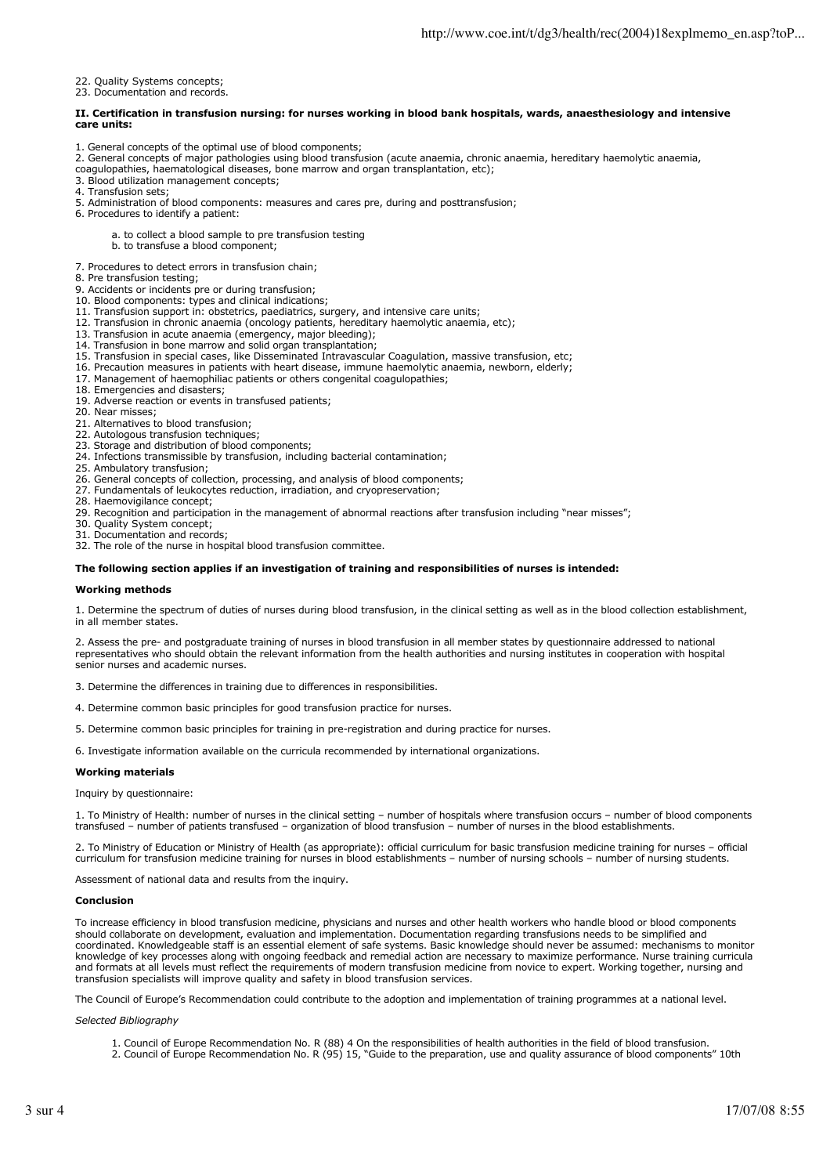22. Quality Systems concepts;

23. Documentation and records.

### **II. Certification in transfusion nursing: for nurses working in blood bank hospitals, wards, anaesthesiology and intensive care units:**

- 1. General concepts of the optimal use of blood components;
- 2. General concepts of major pathologies using blood transfusion (acute anaemia, chronic anaemia, hereditary haemolytic anaemia,
- coagulopathies, haematological diseases, bone marrow and organ transplantation, etc);
- 3. Blood utilization management concepts;
- 4. Transfusion sets;
- 5. Administration of blood components: measures and cares pre, during and posttransfusion;
- 6. Procedures to identify a patient:
	- a. to collect a blood sample to pre transfusion testing
	- b. to transfuse a blood component;
- 7. Procedures to detect errors in transfusion chain;
- 8. Pre transfusion testing;
- 9. Accidents or incidents pre or during transfusion;
- 10. Blood components: types and clinical indications;
- 11. Transfusion support in: obstetrics, paediatrics, surgery, and intensive care units;
- 12. Transfusion in chronic anaemia (oncology patients, hereditary haemolytic anaemia, etc);
- 13. Transfusion in acute anaemia (emergency, major bleeding);
- 14. Transfusion in bone marrow and solid organ transplantation;
- 15. Transfusion in special cases, like Disseminated Intravascular Coagulation, massive transfusion, etc;
- 16. Precaution measures in patients with heart disease, immune haemolytic anaemia, newborn, elderly;
- 17. Management of haemophiliac patients or others congenital coagulopathies;
- 18. Emergencies and disasters;
- 19. Adverse reaction or events in transfused patients;
- 20. Near misses;
- 21. Alternatives to blood transfusion;
- 22. Autologous transfusion techniques;
- 23. Storage and distribution of blood components;
- 24. Infections transmissible by transfusion, including bacterial contamination;
- 25. Ambulatory transfusion;
- 26. General concepts of collection, processing, and analysis of blood components;
- 27. Fundamentals of leukocytes reduction, irradiation, and cryopreservation;
- 28. Haemovigilance concept; 29. Recognition and participation in the management of abnormal reactions after transfusion including "near misses";
- 30. Quality System concept;
- 31. Documentation and records;
- 32. The role of the nurse in hospital blood transfusion committee.

# **The following section applies if an investigation of training and responsibilities of nurses is intended:**

#### **Working methods**

1. Determine the spectrum of duties of nurses during blood transfusion, in the clinical setting as well as in the blood collection establishment, in all member states.

2. Assess the pre- and postgraduate training of nurses in blood transfusion in all member states by questionnaire addressed to national representatives who should obtain the relevant information from the health authorities and nursing institutes in cooperation with hospital senior nurses and academic nurses.

3. Determine the differences in training due to differences in responsibilities.

- 4. Determine common basic principles for good transfusion practice for nurses.
- 5. Determine common basic principles for training in pre-registration and during practice for nurses.

6. Investigate information available on the curricula recommended by international organizations.

#### **Working materials**

Inquiry by questionnaire:

1. To Ministry of Health: number of nurses in the clinical setting – number of hospitals where transfusion occurs – number of blood components transfused – number of patients transfused – organization of blood transfusion – number of nurses in the blood establishments.

2. To Ministry of Education or Ministry of Health (as appropriate): official curriculum for basic transfusion medicine training for nurses – official curriculum for transfusion medicine training for nurses in blood establishments – number of nursing schools – number of nursing students.

Assessment of national data and results from the inquiry.

#### **Conclusion**

To increase efficiency in blood transfusion medicine, physicians and nurses and other health workers who handle blood or blood components should collaborate on development, evaluation and implementation. Documentation regarding transfusions needs to be simplified and coordinated. Knowledgeable staff is an essential element of safe systems. Basic knowledge should never be assumed: mechanisms to monitor knowledge of key processes along with ongoing feedback and remedial action are necessary to maximize performance. Nurse training curricula and formats at all levels must reflect the requirements of modern transfusion medicine from novice to expert. Working together, nursing and transfusion specialists will improve quality and safety in blood transfusion services.

The Council of Europe's Recommendation could contribute to the adoption and implementation of training programmes at a national level.

#### *Selected Bibliography*

- 1. Council of Europe Recommendation No. R (88) 4 On the responsibilities of health authorities in the field of blood transfusion.
- 2. Council of Europe Recommendation No. R (95) 15, "Guide to the preparation, use and quality assurance of blood components" 10th